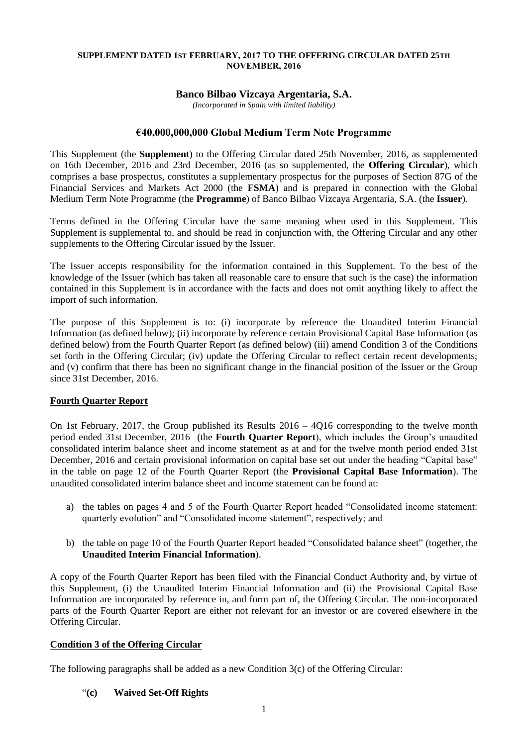### **SUPPLEMENT DATED 1ST FEBRUARY, 2017 TO THE OFFERING CIRCULAR DATED 25TH NOVEMBER, 2016**

# **Banco Bilbao Vizcaya Argentaria, S.A.**

*(Incorporated in Spain with limited liability)*

# **€40,000,000,000 Global Medium Term Note Programme**

This Supplement (the **Supplement**) to the Offering Circular dated 25th November, 2016, as supplemented on 16th December, 2016 and 23rd December, 2016 (as so supplemented, the **Offering Circular**), which comprises a base prospectus, constitutes a supplementary prospectus for the purposes of Section 87G of the Financial Services and Markets Act 2000 (the **FSMA**) and is prepared in connection with the Global Medium Term Note Programme (the **Programme**) of Banco Bilbao Vizcaya Argentaria, S.A. (the **Issuer**).

Terms defined in the Offering Circular have the same meaning when used in this Supplement. This Supplement is supplemental to, and should be read in conjunction with, the Offering Circular and any other supplements to the Offering Circular issued by the Issuer.

The Issuer accepts responsibility for the information contained in this Supplement. To the best of the knowledge of the Issuer (which has taken all reasonable care to ensure that such is the case) the information contained in this Supplement is in accordance with the facts and does not omit anything likely to affect the import of such information.

The purpose of this Supplement is to: (i) incorporate by reference the Unaudited Interim Financial Information (as defined below); (ii) incorporate by reference certain Provisional Capital Base Information (as defined below) from the Fourth Quarter Report (as defined below) (iii) amend Condition 3 of the Conditions set forth in the Offering Circular; (iv) update the Offering Circular to reflect certain recent developments; and (v) confirm that there has been no significant change in the financial position of the Issuer or the Group since 31st December, 2016.

## **Fourth Quarter Report**

On 1st February, 2017, the Group published its Results 2016 – 4Q16 corresponding to the twelve month period ended 31st December, 2016 (the **Fourth Quarter Report**), which includes the Group's unaudited consolidated interim balance sheet and income statement as at and for the twelve month period ended 31st December, 2016 and certain provisional information on capital base set out under the heading "Capital base" in the table on page 12 of the Fourth Quarter Report (the **Provisional Capital Base Information**). The unaudited consolidated interim balance sheet and income statement can be found at:

- a) the tables on pages 4 and 5 of the Fourth Quarter Report headed "Consolidated income statement: quarterly evolution" and "Consolidated income statement", respectively; and
- b) the table on page 10 of the Fourth Quarter Report headed "Consolidated balance sheet" (together, the **Unaudited Interim Financial Information**).

A copy of the Fourth Quarter Report has been filed with the Financial Conduct Authority and, by virtue of this Supplement, (i) the Unaudited Interim Financial Information and (ii) the Provisional Capital Base Information are incorporated by reference in, and form part of, the Offering Circular. The non-incorporated parts of the Fourth Quarter Report are either not relevant for an investor or are covered elsewhere in the Offering Circular.

# **Condition 3 of the Offering Circular**

The following paragraphs shall be added as a new Condition 3(c) of the Offering Circular:

"**(c) Waived Set-Off Rights**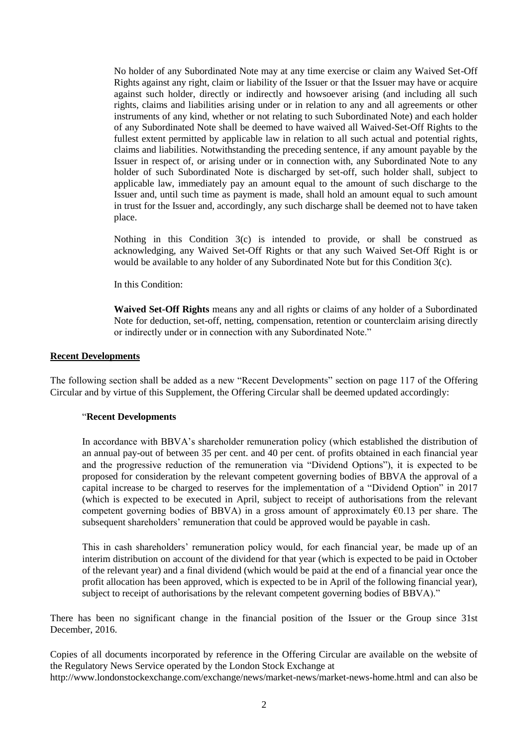No holder of any Subordinated Note may at any time exercise or claim any Waived Set-Off Rights against any right, claim or liability of the Issuer or that the Issuer may have or acquire against such holder, directly or indirectly and howsoever arising (and including all such rights, claims and liabilities arising under or in relation to any and all agreements or other instruments of any kind, whether or not relating to such Subordinated Note) and each holder of any Subordinated Note shall be deemed to have waived all Waived-Set-Off Rights to the fullest extent permitted by applicable law in relation to all such actual and potential rights, claims and liabilities. Notwithstanding the preceding sentence, if any amount payable by the Issuer in respect of, or arising under or in connection with, any Subordinated Note to any holder of such Subordinated Note is discharged by set-off, such holder shall, subject to applicable law, immediately pay an amount equal to the amount of such discharge to the Issuer and, until such time as payment is made, shall hold an amount equal to such amount in trust for the Issuer and, accordingly, any such discharge shall be deemed not to have taken place.

Nothing in this Condition 3(c) is intended to provide, or shall be construed as acknowledging, any Waived Set-Off Rights or that any such Waived Set-Off Right is or would be available to any holder of any Subordinated Note but for this Condition 3(c).

In this Condition:

**Waived Set-Off Rights** means any and all rights or claims of any holder of a Subordinated Note for deduction, set-off, netting, compensation, retention or counterclaim arising directly or indirectly under or in connection with any Subordinated Note."

### **Recent Developments**

The following section shall be added as a new "Recent Developments" section on page 117 of the Offering Circular and by virtue of this Supplement, the Offering Circular shall be deemed updated accordingly:

#### "**Recent Developments**

In accordance with BBVA's shareholder remuneration policy (which established the distribution of an annual pay-out of between 35 per cent. and 40 per cent. of profits obtained in each financial year and the progressive reduction of the remuneration via "Dividend Options"), it is expected to be proposed for consideration by the relevant competent governing bodies of BBVA the approval of a capital increase to be charged to reserves for the implementation of a "Dividend Option" in 2017 (which is expected to be executed in April, subject to receipt of authorisations from the relevant competent governing bodies of BBVA) in a gross amount of approximately  $\epsilon$ 0.13 per share. The subsequent shareholders' remuneration that could be approved would be payable in cash.

This in cash shareholders' remuneration policy would, for each financial year, be made up of an interim distribution on account of the dividend for that year (which is expected to be paid in October of the relevant year) and a final dividend (which would be paid at the end of a financial year once the profit allocation has been approved, which is expected to be in April of the following financial year), subject to receipt of authorisations by the relevant competent governing bodies of BBVA)."

There has been no significant change in the financial position of the Issuer or the Group since 31st December, 2016.

Copies of all documents incorporated by reference in the Offering Circular are available on the website of the Regulatory News Service operated by the London Stock Exchange at http://www.londonstockexchange.com/exchange/news/market-news/market-news-home.html and can also be